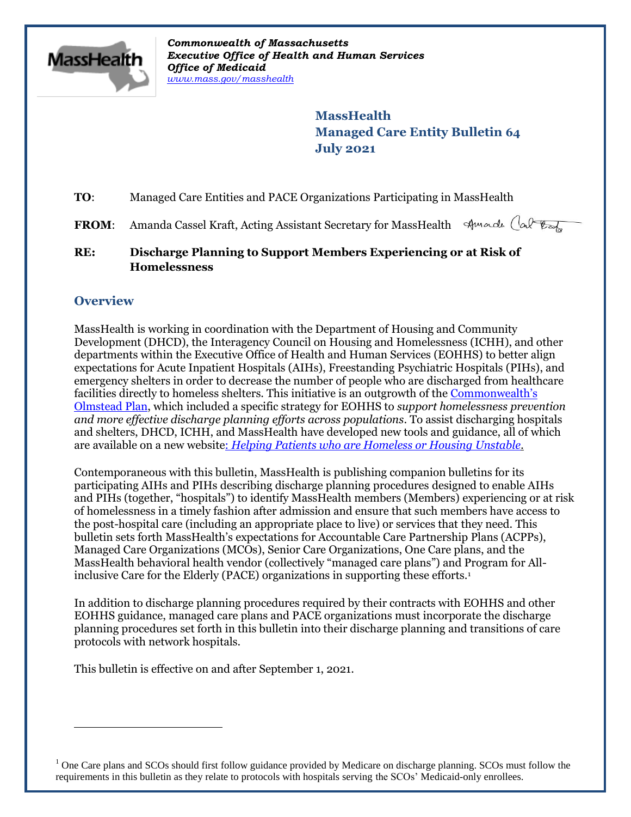

*Commonwealth of Massachusetts Executive Office of Health and Human Services Office of Medicaid [www.mass.gov/masshealth](http://www.mass.gov/masshealth)*

> **MassHealth Managed Care Entity Bulletin 64 July 2021**

**TO**: Managed Care Entities and PACE Organizations Participating in MassHealth

**FROM:** Amanda Cassel Kraft, Acting Assistant Secretary for MassHealth Spuande (alter

**RE: Discharge Planning to Support Members Experiencing or at Risk of Homelessness**

# **Overview**

 $\overline{a}$ 

MassHealth is working in coordination with the Department of Housing and Community Development (DHCD), the Interagency Council on Housing and Homelessness (ICHH), and other departments within the Executive Office of Health and Human Services (EOHHS) to better align expectations for Acute Inpatient Hospitals (AIHs), Freestanding Psychiatric Hospitals (PIHs), and emergency shelters in order to decrease the number of people who are discharged from healthcare facilities directly to homeless shelters. This initiative is an outgrowth of the [Commonwealth's](https://www.mass.gov/orgs/commonwealth-of-massachusetts-olmstead-plan-and-update)  [Olmstead Plan,](https://www.mass.gov/orgs/commonwealth-of-massachusetts-olmstead-plan-and-update) which included a specific strategy for EOHHS to *support homelessness prevention and more effective discharge planning efforts across populations*. To assist discharging hospitals and shelters, DHCD, ICHH, and MassHealth have developed new tools and guidance, all of which are available on a new website: *[Helping Patients who are Homeless or Housing Unstable.](https://www.mass.gov/info-details/helping-patients-who-are-homeless-or-housing-unstable)*

Contemporaneous with this bulletin, MassHealth is publishing companion bulletins for its participating AIHs and PIHs describing discharge planning procedures designed to enable AIHs and PIHs (together, "hospitals") to identify MassHealth members (Members) experiencing or at risk of homelessness in a timely fashion after admission and ensure that such members have access to the post-hospital care (including an appropriate place to live) or services that they need. This bulletin sets forth MassHealth's expectations for Accountable Care Partnership Plans (ACPPs), Managed Care Organizations (MCOs), Senior Care Organizations, One Care plans, and the MassHealth behavioral health vendor (collectively "managed care plans") and Program for Allinclusive Care for the Elderly (PACE) organizations in supporting these efforts.<sup>1</sup>

In addition to discharge planning procedures required by their contracts with EOHHS and other EOHHS guidance, managed care plans and PACE organizations must incorporate the discharge planning procedures set forth in this bulletin into their discharge planning and transitions of care protocols with network hospitals.

This bulletin is effective on and after September 1, 2021.

 $<sup>1</sup>$  One Care plans and SCOs should first follow guidance provided by Medicare on discharge planning. SCOs must follow the</sup> requirements in this bulletin as they relate to protocols with hospitals serving the SCOs' Medicaid-only enrollees.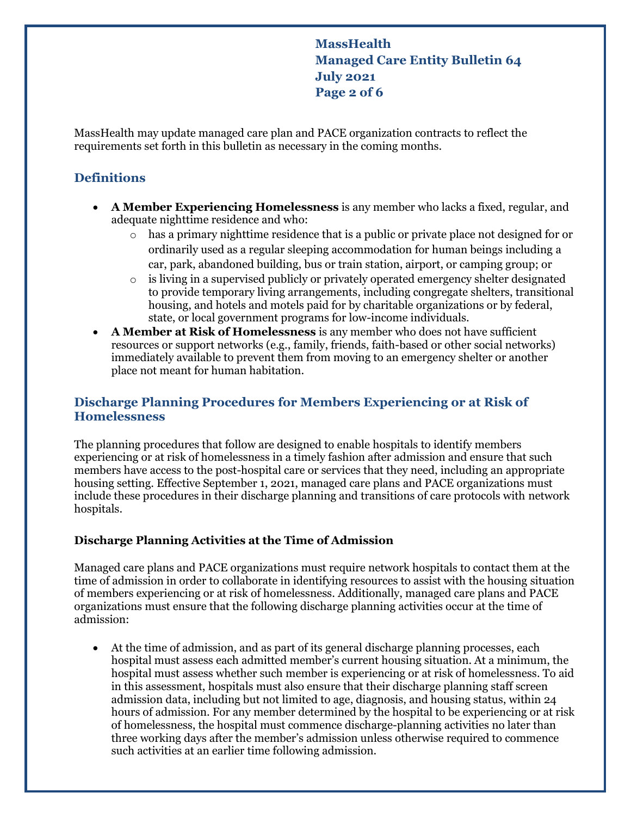**MassHealth Managed Care Entity Bulletin 64 July 2021 Page 2 of 6**

MassHealth may update managed care plan and PACE organization contracts to reflect the requirements set forth in this bulletin as necessary in the coming months.

# **Definitions**

- **A Member Experiencing Homelessness** is any member who lacks a fixed, regular, and adequate nighttime residence and who:
	- o has a primary nighttime residence that is a public or private place not designed for or ordinarily used as a regular sleeping accommodation for human beings including a car, park, abandoned building, bus or train station, airport, or camping group; or
	- $\circ$  is living in a supervised publicly or privately operated emergency shelter designated to provide temporary living arrangements, including congregate shelters, transitional housing, and hotels and motels paid for by charitable organizations or by federal, state, or local government programs for low-income individuals.
- **A Member at Risk of Homelessness** is any member who does not have sufficient resources or support networks (e.g., family, friends, faith-based or other social networks) immediately available to prevent them from moving to an emergency shelter or another place not meant for human habitation.

# **Discharge Planning Procedures for Members Experiencing or at Risk of Homelessness**

The planning procedures that follow are designed to enable hospitals to identify members experiencing or at risk of homelessness in a timely fashion after admission and ensure that such members have access to the post-hospital care or services that they need, including an appropriate housing setting. Effective September 1, 2021, managed care plans and PACE organizations must include these procedures in their discharge planning and transitions of care protocols with network hospitals.

# **Discharge Planning Activities at the Time of Admission**

Managed care plans and PACE organizations must require network hospitals to contact them at the time of admission in order to collaborate in identifying resources to assist with the housing situation of members experiencing or at risk of homelessness. Additionally, managed care plans and PACE organizations must ensure that the following discharge planning activities occur at the time of admission:

 At the time of admission, and as part of its general discharge planning processes, each hospital must assess each admitted member's current housing situation. At a minimum, the hospital must assess whether such member is experiencing or at risk of homelessness. To aid in this assessment, hospitals must also ensure that their discharge planning staff screen admission data, including but not limited to age, diagnosis, and housing status, within 24 hours of admission. For any member determined by the hospital to be experiencing or at risk of homelessness, the hospital must commence discharge-planning activities no later than three working days after the member's admission unless otherwise required to commence such activities at an earlier time following admission.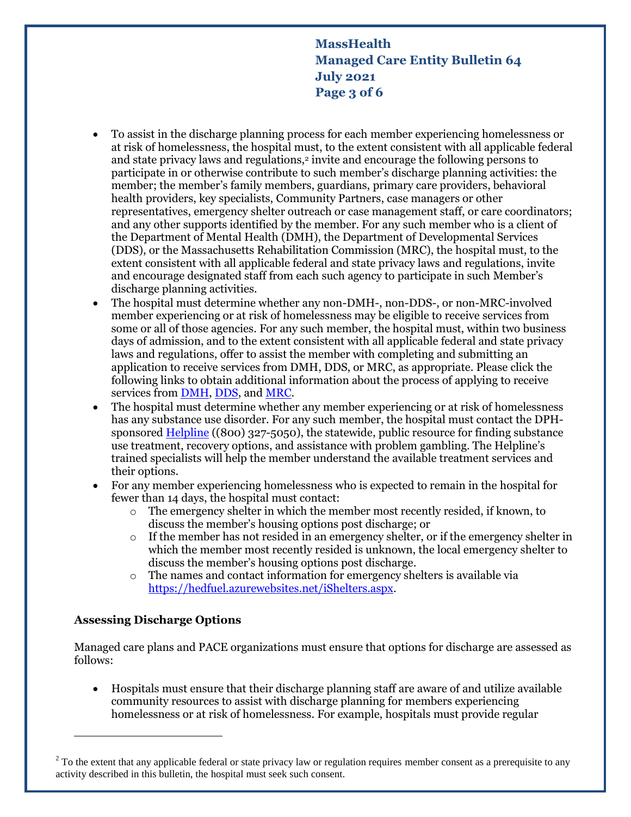**MassHealth Managed Care Entity Bulletin 64 July 2021 Page 3 of 6**

- To assist in the discharge planning process for each member experiencing homelessness or at risk of homelessness, the hospital must, to the extent consistent with all applicable federal and state privacy laws and regulations,<sup>2</sup> invite and encourage the following persons to participate in or otherwise contribute to such member's discharge planning activities: the member; the member's family members, guardians, primary care providers, behavioral health providers, key specialists, Community Partners, case managers or other representatives, emergency shelter outreach or case management staff, or care coordinators; and any other supports identified by the member. For any such member who is a client of the Department of Mental Health (DMH), the Department of Developmental Services (DDS), or the Massachusetts Rehabilitation Commission (MRC), the hospital must, to the extent consistent with all applicable federal and state privacy laws and regulations, invite and encourage designated staff from each such agency to participate in such Member's discharge planning activities.
- The hospital must determine whether any non-DMH-, non-DDS-, or non-MRC-involved member experiencing or at risk of homelessness may be eligible to receive services from some or all of those agencies. For any such member, the hospital must, within two business days of admission, and to the extent consistent with all applicable federal and state privacy laws and regulations, offer to assist the member with completing and submitting an application to receive services from DMH, DDS, or MRC, as appropriate. Please click the following links to obtain additional information about the process of applying to receive services from [DMH,](https://www.mass.gov/info-details/applications-for-dmh-services#:~:text=Contact%20Info%20-%20Where%20to%20Submit%20Your%20DMH,%20%20NEA.serviceauthapplications@mass.gov%20%201%20more%20rows) [DDS,](https://ddsmass.github.io/eligibility-guide/) an[d MRC.](https://www.mass.gov/mrc-community-based-services)
- The hospital must determine whether any member experiencing or at risk of homelessness has any substance use disorder. For any such member, the hospital must contact the DPH-sponsored [Helpline](https://helplinema.org/) ((800) 327-5050), the statewide, public resource for finding substance use treatment, recovery options, and assistance with problem gambling. The Helpline's trained specialists will help the member understand the available treatment services and their options.
- For any member experiencing homelessness who is expected to remain in the hospital for fewer than 14 days, the hospital must contact:
	- o The emergency shelter in which the member most recently resided, if known, to discuss the member's housing options post discharge; or
	- $\circ$  If the member has not resided in an emergency shelter, or if the emergency shelter in which the member most recently resided is unknown, the local emergency shelter to discuss the member's housing options post discharge.
	- o The names and contact information for emergency shelters is available via [https://hedfuel.azurewebsites.net/iShelters.aspx.](https://hedfuel.azurewebsites.net/iShelters.aspx)

# **Assessing Discharge Options**

 $\overline{a}$ 

Managed care plans and PACE organizations must ensure that options for discharge are assessed as follows:

 Hospitals must ensure that their discharge planning staff are aware of and utilize available community resources to assist with discharge planning for members experiencing homelessness or at risk of homelessness. For example, hospitals must provide regular

<sup>&</sup>lt;sup>2</sup> To the extent that any applicable federal or state privacy law or regulation requires member consent as a prerequisite to any activity described in this bulletin, the hospital must seek such consent.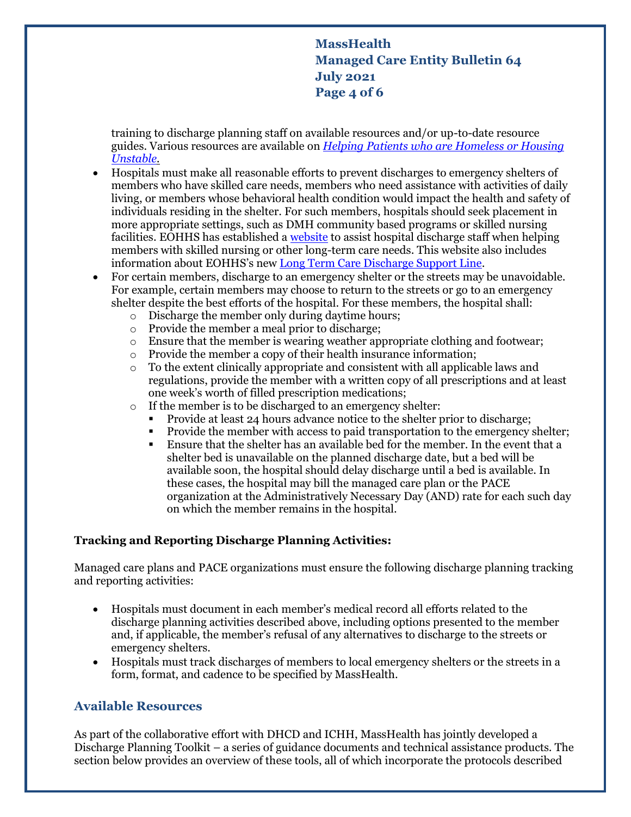**MassHealth Managed Care Entity Bulletin 64 July 2021 Page 4 of 6**

training to discharge planning staff on available resources and/or up-to-date resource guides. Various resources are available on *[Helping Patients who are Homeless or Housing](https://www.mass.gov/info-details/helping-patients-who-are-homeless-or-housing-unstable)  [Unstable.](https://www.mass.gov/info-details/helping-patients-who-are-homeless-or-housing-unstable)*

- Hospitals must make all reasonable efforts to prevent discharges to emergency shelters of members who have skilled care needs, members who need assistance with activities of daily living, or members whose behavioral health condition would impact the health and safety of individuals residing in the shelter. For such members, hospitals should seek placement in more appropriate settings, such as DMH community based programs or skilled nursing facilities. EOHHS has established a [website](https://www.mass.gov/info-details/helping-patients-with-skilled-nursing-or-other-long-term-care-needs) to assist hospital discharge staff when helping members with skilled nursing or other long-term care needs. This website also includes information about EOHHS's new [Long Term Care Discharge Support Line.](https://www.mass.gov/info-details/helping-patients-with-skilled-nursing-or-other-long-term-care-needs#eohhs-long-term-care-discharge-support-line-)
- For certain members, discharge to an emergency shelter or the streets may be unavoidable. For example, certain members may choose to return to the streets or go to an emergency shelter despite the best efforts of the hospital. For these members, the hospital shall:
	- o Discharge the member only during daytime hours;
	- o Provide the member a meal prior to discharge;
	- $\circ$  Ensure that the member is wearing weather appropriate clothing and footwear;
	- o Provide the member a copy of their health insurance information;
	- $\circ$  To the extent clinically appropriate and consistent with all applicable laws and regulations, provide the member with a written copy of all prescriptions and at least one week's worth of filled prescription medications;
	- o If the member is to be discharged to an emergency shelter:
		- Provide at least 24 hours advance notice to the shelter prior to discharge;
		- Provide the member with access to paid transportation to the emergency shelter;
		- Ensure that the shelter has an available bed for the member. In the event that a shelter bed is unavailable on the planned discharge date, but a bed will be available soon, the hospital should delay discharge until a bed is available. In these cases, the hospital may bill the managed care plan or the PACE organization at the Administratively Necessary Day (AND) rate for each such day on which the member remains in the hospital.

### **Tracking and Reporting Discharge Planning Activities:**

Managed care plans and PACE organizations must ensure the following discharge planning tracking and reporting activities:

- Hospitals must document in each member's medical record all efforts related to the discharge planning activities described above, including options presented to the member and, if applicable, the member's refusal of any alternatives to discharge to the streets or emergency shelters.
- Hospitals must track discharges of members to local emergency shelters or the streets in a form, format, and cadence to be specified by MassHealth.

# **Available Resources**

As part of the collaborative effort with DHCD and ICHH, MassHealth has jointly developed a Discharge Planning Toolkit – a series of guidance documents and technical assistance products. The section below provides an overview of these tools, all of which incorporate the protocols described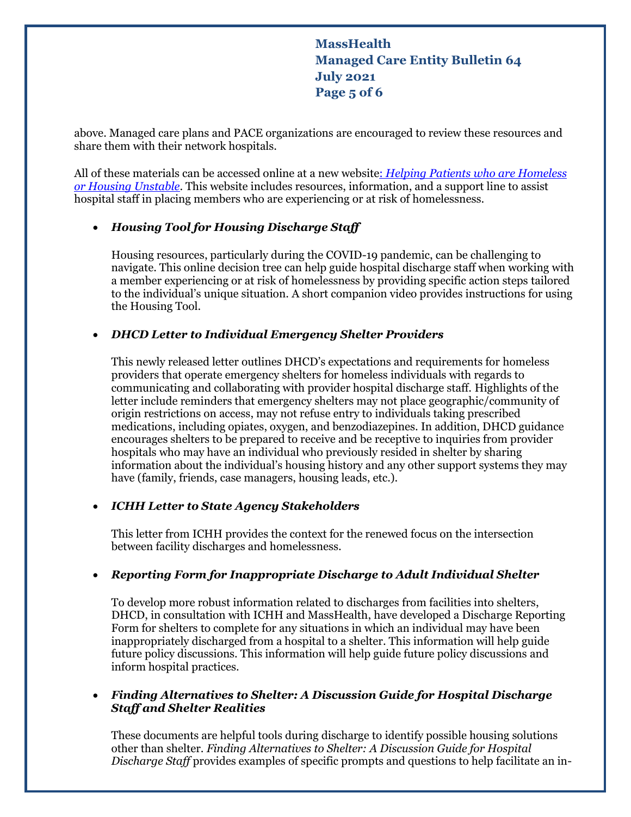**MassHealth Managed Care Entity Bulletin 64 July 2021 Page 5 of 6**

above. Managed care plans and PACE organizations are encouraged to review these resources and share them with their network hospitals.

All of these materials can be accessed online at a new website: *[Helping Patients who are Homeless](https://www.mass.gov/info-details/helping-patients-who-are-homeless-or-housing-unstable)  [or Housing Unstable](https://www.mass.gov/info-details/helping-patients-who-are-homeless-or-housing-unstable)*. This website includes resources, information, and a support line to assist hospital staff in placing members who are experiencing or at risk of homelessness.

### *Housing Tool for Housing Discharge Staff*

Housing resources, particularly during the COVID-19 pandemic, can be challenging to navigate. This online decision tree can help guide hospital discharge staff when working with a member experiencing or at risk of homelessness by providing specific action steps tailored to the individual's unique situation. A short companion video provides instructions for using the Housing Tool.

### *DHCD Letter to Individual Emergency Shelter Providers*

This newly released letter outlines DHCD's expectations and requirements for homeless providers that operate emergency shelters for homeless individuals with regards to communicating and collaborating with provider hospital discharge staff. Highlights of the letter include reminders that emergency shelters may not place geographic/community of origin restrictions on access, may not refuse entry to individuals taking prescribed medications, including opiates, oxygen, and benzodiazepines. In addition, DHCD guidance encourages shelters to be prepared to receive and be receptive to inquiries from provider hospitals who may have an individual who previously resided in shelter by sharing information about the individual's housing history and any other support systems they may have (family, friends, case managers, housing leads, etc.).

#### *ICHH Letter to State Agency Stakeholders*

This letter from ICHH provides the context for the renewed focus on the intersection between facility discharges and homelessness.

#### *Reporting Form for Inappropriate Discharge to Adult Individual Shelter*

To develop more robust information related to discharges from facilities into shelters, DHCD, in consultation with ICHH and MassHealth, have developed a Discharge Reporting Form for shelters to complete for any situations in which an individual may have been inappropriately discharged from a hospital to a shelter. This information will help guide future policy discussions. This information will help guide future policy discussions and inform hospital practices.

### *Finding Alternatives to Shelter: A Discussion Guide for Hospital Discharge Staff and Shelter Realities*

These documents are helpful tools during discharge to identify possible housing solutions other than shelter. *Finding Alternatives to Shelter: A Discussion Guide for Hospital Discharge Staff* provides examples of specific prompts and questions to help facilitate an in